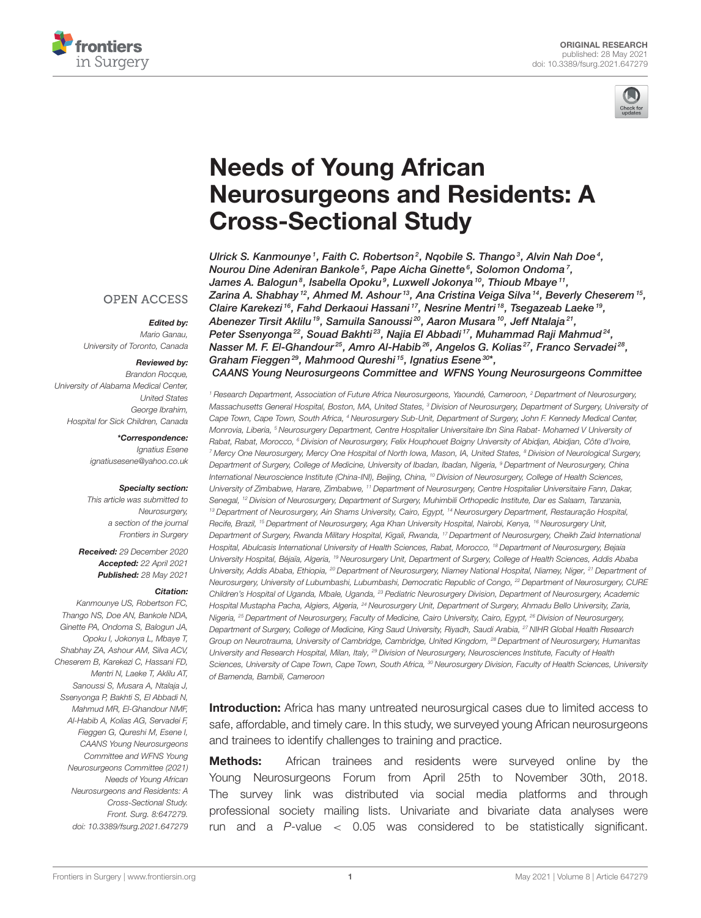



# Needs of Young African [Neurosurgeons and Residents: A](https://www.frontiersin.org/articles/10.3389/fsurg.2021.647279/full) Cross-Sectional Study

Ulrick S. Kanmounye<sup>1</sup>, Faith C. Robertson<sup>2</sup>, Nqobile S. Thango<sup>3</sup>, Alvin Nah Doe<sup>4</sup>, Nourou Dine Adeniran Bankole<sup>5</sup>, Pape Aicha Ginette<sup>6</sup>, Solomon Ondoma<sup>7</sup>, James A. Balogun $^s$ , Isabella Opoku $^g$ , Luxwell Jokonya $^{\mathit{10}}$ , Thioub Mbaye $^{\mathit{11}},$ Zarina A. Shabhay  $^{12}$ , Ahmed M. Ashour $^{13}$ , Ana Cristina Veiga Silva  $^{14}$ , Beverly Cheserem  $^{15}$ , Claire Karekezi <sup>16</sup>, Fahd Derkaoui Hassani <sup>17</sup>, Nesrine Mentri <sup>18</sup>, Tsegazeab Laeke <sup>19</sup>, Abenezer Tirsit Aklilu <sup>19</sup>, Samuila Sanoussi 20, Aaron Musara <sup>10</sup>, Jeff Ntalaja 21, Peter Ssenyonga $^{22}$ , Souad Bakhti $^{23}$ , Najia El Abbadi  $^{17}$ , Muhammad Raji Mahmud $^{24}$ , Nasser M. F. El-Ghandour<sup>25</sup>, Amro Al-Habib<sup>26</sup>, Angelos G. Kolias<sup>27</sup>, Franco Servadei<sup>28</sup>, Graham Fieggen<sup>29</sup>, Mahmood Qureshi<sup>15</sup>, Ignatius Esene<sup>30\*</sup>, CAANS Young Neurosurgeons Committee and WFNS Young Neurosurgeons Committee

<sup>1</sup> Research Department, Association of Future Africa Neurosurgeons, Yaoundé, Cameroon, <sup>2</sup> Department of Neurosurgery, Massachusetts General Hospital, Boston, MA, United States, <sup>3</sup> Division of Neurosurgery, Department of Surgery, University o*i* Cape Town, Cape Town, South Africa, <sup>4</sup> Neurosurgery Sub-Unit, Department of Surgery, John F. Kennedy Medical Center, Monrovia, Liberia, <sup>5</sup> Neurosurgery Department, Centre Hospitalier Universitaire Ibn Sina Rabat- Mohamed V University of Rabat, Rabat, Morocco, <sup>6</sup> Division of Neurosurgery, Felix Houphouet Boigny University of Abidjan, Abidjan, Côte d'Ivoire, <sup>7</sup> Mercy One Neurosurgery, Mercy One Hospital of North Iowa, Mason, IA, United States, <sup>8</sup> Division of Neurological Surgery, Department of Surgery, College of Medicine, University of Ibadan, Ibadan, Nigeria, <sup>9</sup> Department of Neurosurgery, China International Neuroscience Institute (China-INI), Beijing, China, <sup>10</sup> Division of Neurosurgery, College of Health Sciences, University of Zimbabwe, Harare, Zimbabwe, <sup>11</sup> Department of Neurosurgery, Centre Hospitalier Universitaire Fann, Dakar, Senegal, <sup>12</sup> Division of Neurosurgery, Department of Surgery, Muhimbili Orthopedic Institute, Dar es Salaam, Tanzania, <sup>13</sup> Department of Neurosurgery, Ain Shams University, Cairo, Egypt, <sup>14</sup> Neurosurgery Department, Restauração Hospital, Recife, Brazil, <sup>15</sup> Department of Neurosurgery, Aga Khan University Hospital, Nairobi, Kenya, <sup>16</sup> Neurosurgery Unit, Department of Surgery, Rwanda Military Hospital, Kigali, Rwanda, <sup>17</sup> Department of Neurosurgery, Cheikh Zaid International Hospital, Abulcasis International University of Health Sciences, Rabat, Morocco, <sup>18</sup> Department of Neurosurgery, Bejaia University Hospital, Béjaïa, Algeria, <sup>19</sup> Neurosurgery Unit, Department of Surgery, College of Health Sciences, Addis Ababa University, Addis Ababa, Ethiopia, <sup>20</sup> Department of Neurosurgery, Niamey National Hospital, Niamey, Niger, <sup>21</sup> Department of Neurosurgery, University of Lubumbashi, Lubumbashi, Democratic Republic of Congo, <sup>22</sup> Department of Neurosurgery, CURE Children's Hospital of Uganda, Mbale, Uganda, <sup>23</sup> Pediatric Neurosurgery Division, Department of Neurosurgery, Academic Hospital Mustapha Pacha, Algiers, Algeria, <sup>24</sup> Neurosurgery Unit, Department of Surgery, Ahmadu Bello University, Zaria, Nigeria, <sup>25</sup> Department of Neurosurgery, Faculty of Medicine, Cairo University, Cairo, Egypt, <sup>26</sup> Division of Neurosurgery, Department of Surgery, College of Medicine, King Saud University, Riyadh, Saudi Arabia, <sup>27</sup> NIHR Global Health Research Group on Neurotrauma, University of Cambridge, Cambridge, United Kingdom, <sup>28</sup> Department of Neurosurgery, Humanitas University and Research Hospital, Milan, Italy, <sup>29</sup> Division of Neurosurgery, Neurosciences Institute, Faculty of Health Sciences, University of Cape Town, Cape Town, South Africa, <sup>30</sup> Neurosurgery Division, Faculty of Health Sciences, University of Bamenda, Bambili, Cameroon

**Introduction:** Africa has many untreated neurosurgical cases due to limited access to safe, affordable, and timely care. In this study, we surveyed young African neurosurgeons and trainees to identify challenges to training and practice.

**Methods:** African trainees and residents were surveyed online by the Young Neurosurgeons Forum from April 25th to November 30th, 2018. The survey link was distributed via social media platforms and through professional society mailing lists. Univariate and bivariate data analyses were run and a  $P$ -value  $\lt$  0.05 was considered to be statistically significant.

#### **OPEN ACCESS**

#### Edited by:

Mario Ganau, University of Toronto, Canada

#### Reviewed by:

Brandon Rocque. University of Alabama Medical Center, United States George Ibrahim, Hospital for Sick Children, Canada

#### \*Correspondence:

Ignatius Esene [ignatiusesene@yahoo.co.uk](mailto:ignatiusesene@yahoo.co.uk)

#### Specialty section:

This article was submitted to Neurosurgery, a section of the journal Frontiers in Surgery

Received: 29 December 2020 Accepted: 22 April 2021 Published: 28 May 2021

#### Citation:

Kanmounye US, Robertson FC, Thango NS, Doe AN, Bankole NDA, Ginette PA, Ondoma S, Balogun JA, Opoku I, Jokonya L, Mbaye T, Shabhay ZA, Ashour AM, Silva ACV, Cheserem B, Karekezi C, Hassani FD, Mentri N, Laeke T, Aklilu AT, Sanoussi S, Musara A, Ntalaja J, Ssenyonga P, Bakhti S, El Abbadi N, Mahmud MR, El-Ghandour NMF, Al-Habib A, Kolias AG, Servadei F, Fieggen G, Qureshi M, Esene I, CAANS Young Neurosurgeons Committee and WFNS Young Neurosurgeons Committee (2021) Needs of Young African Neurosurgeons and Residents: A Cross-Sectional Study. Front. Surg. 8:647279. doi: [10.3389/fsurg.2021.647279](https://doi.org/10.3389/fsurg.2021.647279)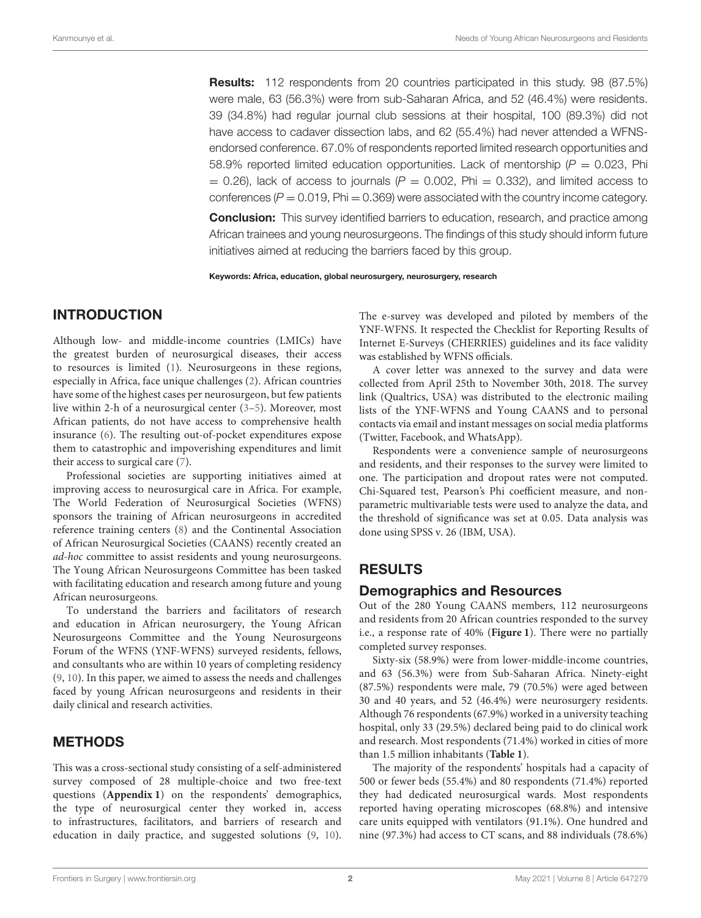**Results:** 112 respondents from 20 countries participated in this study. 98 (87.5%) were male, 63 (56.3%) were from sub-Saharan Africa, and 52 (46.4%) were residents. 39 (34.8%) had regular journal club sessions at their hospital, 100 (89.3%) did not have access to cadaver dissection labs, and 62 (55.4%) had never attended a WFNSendorsed conference. 67.0% of respondents reported limited research opportunities and 58.9% reported limited education opportunities. Lack of mentorship ( $P = 0.023$ , Phi  $= 0.26$ ), lack of access to journals (P = 0.002, Phi = 0.332), and limited access to conferences ( $P = 0.019$ , Phi = 0.369) were associated with the country income category.

**Conclusion:** This survey identified barriers to education, research, and practice among African trainees and young neurosurgeons. The findings of this study should inform future initiatives aimed at reducing the barriers faced by this group.

Keywords: Africa, education, global neurosurgery, neurosurgery, research

#### INTRODUCTION

Although low- and middle-income countries (LMICs) have the greatest burden of neurosurgical diseases, their access to resources is limited [\(1\)](#page-5-0). Neurosurgeons in these regions, especially in Africa, face unique challenges [\(2\)](#page-5-1). African countries have some of the highest cases per neurosurgeon, but few patients live within 2-h of a neurosurgical center [\(3](#page-5-2)[–5\)](#page-5-3). Moreover, most African patients, do not have access to comprehensive health insurance [\(6\)](#page-5-4). The resulting out-of-pocket expenditures expose them to catastrophic and impoverishing expenditures and limit their access to surgical care [\(7\)](#page-5-5).

Professional societies are supporting initiatives aimed at improving access to neurosurgical care in Africa. For example, The World Federation of Neurosurgical Societies (WFNS) sponsors the training of African neurosurgeons in accredited reference training centers [\(8\)](#page-5-6) and the Continental Association of African Neurosurgical Societies (CAANS) recently created an ad-hoc committee to assist residents and young neurosurgeons. The Young African Neurosurgeons Committee has been tasked with facilitating education and research among future and young African neurosurgeons.

To understand the barriers and facilitators of research and education in African neurosurgery, the Young African Neurosurgeons Committee and the Young Neurosurgeons Forum of the WFNS (YNF-WFNS) surveyed residents, fellows, and consultants who are within 10 years of completing residency [\(9,](#page-6-0) [10\)](#page-6-1). In this paper, we aimed to assess the needs and challenges faced by young African neurosurgeons and residents in their daily clinical and research activities.

### METHODS

This was a cross-sectional study consisting of a self-administered survey composed of 28 multiple-choice and two free-text questions (**[Appendix 1](#page-5-7)**) on the respondents' demographics, the type of neurosurgical center they worked in, access to infrastructures, facilitators, and barriers of research and education in daily practice, and suggested solutions [\(9,](#page-6-0) [10\)](#page-6-1). The e-survey was developed and piloted by members of the YNF-WFNS. It respected the Checklist for Reporting Results of Internet E-Surveys (CHERRIES) guidelines and its face validity was established by WFNS officials.

A cover letter was annexed to the survey and data were collected from April 25th to November 30th, 2018. The survey link (Qualtrics, USA) was distributed to the electronic mailing lists of the YNF-WFNS and Young CAANS and to personal contacts via email and instant messages on social media platforms (Twitter, Facebook, and WhatsApp).

Respondents were a convenience sample of neurosurgeons and residents, and their responses to the survey were limited to one. The participation and dropout rates were not computed. Chi-Squared test, Pearson's Phi coefficient measure, and nonparametric multivariable tests were used to analyze the data, and the threshold of significance was set at 0.05. Data analysis was done using SPSS v. 26 (IBM, USA).

### RESULTS

#### Demographics and Resources

Out of the 280 Young CAANS members, 112 neurosurgeons and residents from 20 African countries responded to the survey i.e., a response rate of 40% (**[Figure 1](#page-2-0)**). There were no partially completed survey responses.

Sixty-six (58.9%) were from lower-middle-income countries, and 63 (56.3%) were from Sub-Saharan Africa. Ninety-eight (87.5%) respondents were male, 79 (70.5%) were aged between 30 and 40 years, and 52 (46.4%) were neurosurgery residents. Although 76 respondents (67.9%) worked in a university teaching hospital, only 33 (29.5%) declared being paid to do clinical work and research. Most respondents (71.4%) worked in cities of more than 1.5 million inhabitants (**[Table 1](#page-2-1)**).

The majority of the respondents' hospitals had a capacity of 500 or fewer beds (55.4%) and 80 respondents (71.4%) reported they had dedicated neurosurgical wards. Most respondents reported having operating microscopes (68.8%) and intensive care units equipped with ventilators (91.1%). One hundred and nine (97.3%) had access to CT scans, and 88 individuals (78.6%)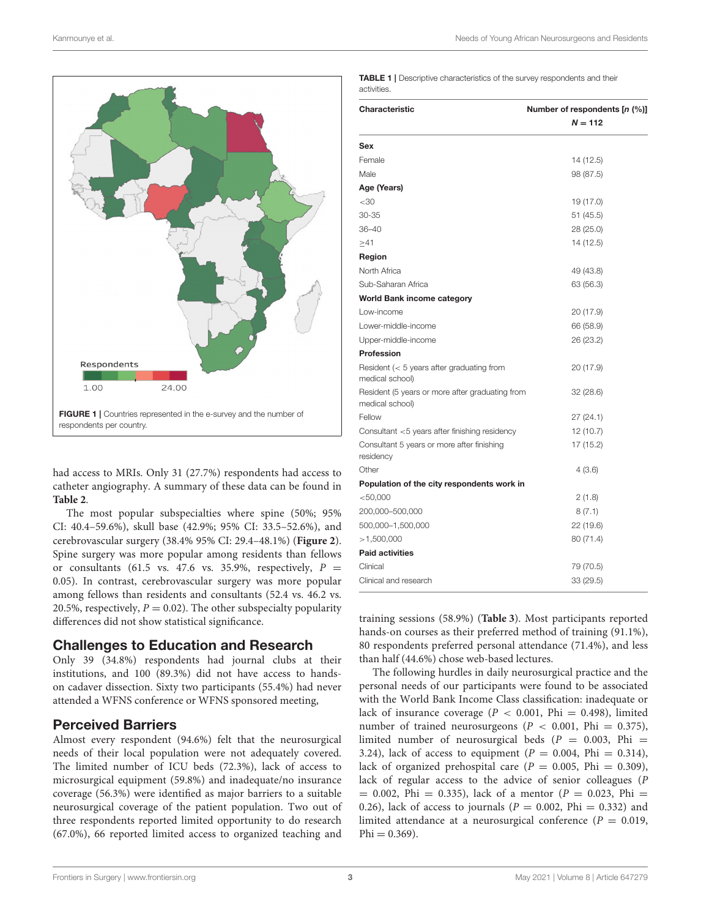

<span id="page-2-0"></span>had access to MRIs. Only 31 (27.7%) respondents had access to catheter angiography. A summary of these data can be found in **[Table 2](#page-3-0)**.

The most popular subspecialties where spine (50%; 95% CI: 40.4–59.6%), skull base (42.9%; 95% CI: 33.5–52.6%), and cerebrovascular surgery (38.4% 95% CI: 29.4–48.1%) (**[Figure 2](#page-4-0)**). Spine surgery was more popular among residents than fellows or consultants (61.5 vs. 47.6 vs. 35.9%, respectively,  $P =$ 0.05). In contrast, cerebrovascular surgery was more popular among fellows than residents and consultants (52.4 vs. 46.2 vs. 20.5%, respectively,  $P = 0.02$ ). The other subspecialty popularity differences did not show statistical significance.

### Challenges to Education and Research

Only 39 (34.8%) respondents had journal clubs at their institutions, and 100 (89.3%) did not have access to handson cadaver dissection. Sixty two participants (55.4%) had never attended a WFNS conference or WFNS sponsored meeting,

### Perceived Barriers

Almost every respondent (94.6%) felt that the neurosurgical needs of their local population were not adequately covered. The limited number of ICU beds (72.3%), lack of access to microsurgical equipment (59.8%) and inadequate/no insurance coverage (56.3%) were identified as major barriers to a suitable neurosurgical coverage of the patient population. Two out of three respondents reported limited opportunity to do research (67.0%), 66 reported limited access to organized teaching and <span id="page-2-1"></span>TABLE 1 | Descriptive characteristics of the survey respondents and their activities.

| Characteristic                                                     | Number of respondents [n (%)] |  |
|--------------------------------------------------------------------|-------------------------------|--|
|                                                                    | $N = 112$                     |  |
| Sex                                                                |                               |  |
| Female                                                             | 14 (12.5)                     |  |
| Male                                                               | 98 (87.5)                     |  |
| Age (Years)                                                        |                               |  |
| $<$ 30                                                             | 19 (17.0)                     |  |
| 30-35                                                              | 51 (45.5)                     |  |
| 36-40                                                              | 28 (25.0)                     |  |
| >41                                                                | 14 (12.5)                     |  |
| Region                                                             |                               |  |
| North Africa                                                       | 49 (43.8)                     |  |
| Sub-Saharan Africa                                                 | 63 (56.3)                     |  |
| <b>World Bank income category</b>                                  |                               |  |
| Low-income                                                         | 20 (17.9)                     |  |
| Lower-middle-income                                                | 66 (58.9)                     |  |
| Upper-middle-income                                                | 26 (23.2)                     |  |
| <b>Profession</b>                                                  |                               |  |
| Resident ( $<$ 5 years after graduating from<br>medical school)    | 20 (17.9)                     |  |
| Resident (5 years or more after graduating from<br>medical school) | 32(28.6)                      |  |
| Fellow                                                             | 27(24.1)                      |  |
| Consultant <5 years after finishing residency                      | 12 (10.7)                     |  |
| Consultant 5 years or more after finishing<br>residency            | 17 (15.2)                     |  |
| Other                                                              | 4(3.6)                        |  |
| Population of the city respondents work in                         |                               |  |
| $<$ 50,000                                                         | 2(1.8)                        |  |
| 200,000-500,000                                                    | 8(7.1)                        |  |
| 500,000-1,500,000                                                  | 22 (19.6)                     |  |
| >1,500,000                                                         | 80 (71.4)                     |  |
| <b>Paid activities</b>                                             |                               |  |
| Clinical                                                           | 79 (70.5)                     |  |
| Clinical and research                                              | 33 (29.5)                     |  |

training sessions (58.9%) (**[Table 3](#page-4-1)**). Most participants reported hands-on courses as their preferred method of training (91.1%), 80 respondents preferred personal attendance (71.4%), and less than half (44.6%) chose web-based lectures.

The following hurdles in daily neurosurgical practice and the personal needs of our participants were found to be associated with the World Bank Income Class classification: inadequate or lack of insurance coverage ( $P < 0.001$ , Phi = 0.498), limited number of trained neurosurgeons ( $P < 0.001$ , Phi = 0.375), limited number of neurosurgical beds ( $P = 0.003$ , Phi = 3.24), lack of access to equipment ( $P = 0.004$ , Phi = 0.314), lack of organized prehospital care ( $P = 0.005$ , Phi = 0.309), lack of regular access to the advice of senior colleagues (P  $= 0.002$ , Phi  $= 0.335$ ), lack of a mentor (P  $= 0.023$ , Phi  $=$ 0.26), lack of access to journals ( $P = 0.002$ , Phi = 0.332) and limited attendance at a neurosurgical conference ( $P = 0.019$ ,  $Phi = 0.369$ ).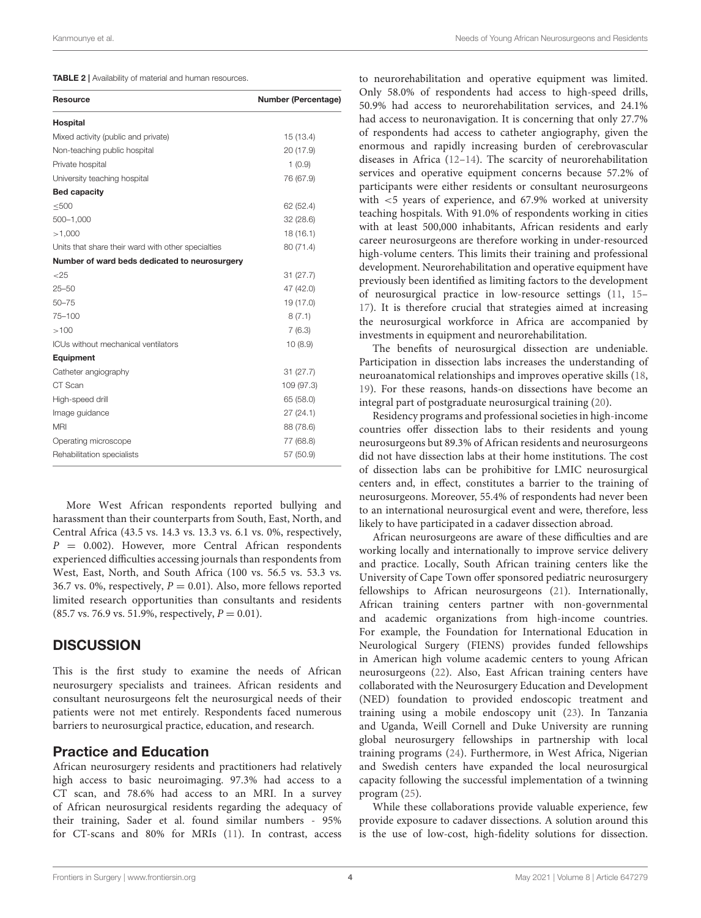<span id="page-3-0"></span>

|  |  |  | <b>TABLE 2</b>   Availability of material and human resources. |  |
|--|--|--|----------------------------------------------------------------|--|
|--|--|--|----------------------------------------------------------------|--|

| <b>Resource</b>                                    | <b>Number (Percentage)</b> |
|----------------------------------------------------|----------------------------|
| Hospital                                           |                            |
| Mixed activity (public and private)                | 15 (13.4)                  |
| Non-teaching public hospital                       | 20 (17.9)                  |
| Private hospital                                   | 1(0.9)                     |
| University teaching hospital                       | 76 (67.9)                  |
| <b>Bed capacity</b>                                |                            |
| < 500                                              | 62 (52.4)                  |
| 500-1,000                                          | 32 (28.6)                  |
| >1,000                                             | 18(16.1)                   |
| Units that share their ward with other specialties | 80 (71.4)                  |
| Number of ward beds dedicated to neurosurgery      |                            |
| $<$ 25                                             | 31(27.7)                   |
| $25 - 50$                                          | 47 (42.0)                  |
| $50 - 75$                                          | 19 (17.0)                  |
| 75-100                                             | 8(7.1)                     |
| >100                                               | 7(6.3)                     |
| ICUs without mechanical ventilators                | 10(8.9)                    |
| Equipment                                          |                            |
| Catheter angiography                               | 31(27.7)                   |
| CT Scan                                            | 109 (97.3)                 |
| High-speed drill                                   | 65 (58.0)                  |
| Image guidance                                     | 27(24.1)                   |
| <b>MRI</b>                                         | 88 (78.6)                  |
| Operating microscope                               | 77 (68.8)                  |
| Rehabilitation specialists                         | 57 (50.9)                  |

More West African respondents reported bullying and harassment than their counterparts from South, East, North, and Central Africa (43.5 vs. 14.3 vs. 13.3 vs. 6.1 vs. 0%, respectively,  $P = 0.002$ ). However, more Central African respondents experienced difficulties accessing journals than respondents from West, East, North, and South Africa (100 vs. 56.5 vs. 53.3 vs. 36.7 vs. 0%, respectively,  $P = 0.01$ ). Also, more fellows reported limited research opportunities than consultants and residents (85.7 vs. 76.9 vs. 51.9%, respectively,  $P = 0.01$ ).

# **DISCUSSION**

This is the first study to examine the needs of African neurosurgery specialists and trainees. African residents and consultant neurosurgeons felt the neurosurgical needs of their patients were not met entirely. Respondents faced numerous barriers to neurosurgical practice, education, and research.

# Practice and Education

African neurosurgery residents and practitioners had relatively high access to basic neuroimaging. 97.3% had access to a CT scan, and 78.6% had access to an MRI. In a survey of African neurosurgical residents regarding the adequacy of their training, Sader et al. found similar numbers - 95% for CT-scans and 80% for MRIs [\(11\)](#page-6-2). In contrast, access

to neurorehabilitation and operative equipment was limited. Only 58.0% of respondents had access to high-speed drills, 50.9% had access to neurorehabilitation services, and 24.1% had access to neuronavigation. It is concerning that only 27.7% of respondents had access to catheter angiography, given the enormous and rapidly increasing burden of cerebrovascular diseases in Africa [\(12](#page-6-3)[–14\)](#page-6-4). The scarcity of neurorehabilitation services and operative equipment concerns because 57.2% of participants were either residents or consultant neurosurgeons with <5 years of experience, and 67.9% worked at university teaching hospitals. With 91.0% of respondents working in cities with at least 500,000 inhabitants, African residents and early career neurosurgeons are therefore working in under-resourced high-volume centers. This limits their training and professional development. Neurorehabilitation and operative equipment have previously been identified as limiting factors to the development of neurosurgical practice in low-resource settings [\(11,](#page-6-2) [15–](#page-6-5) [17\)](#page-6-6). It is therefore crucial that strategies aimed at increasing the neurosurgical workforce in Africa are accompanied by investments in equipment and neurorehabilitation.

The benefits of neurosurgical dissection are undeniable. Participation in dissection labs increases the understanding of neuroanatomical relationships and improves operative skills [\(18,](#page-6-7) [19\)](#page-6-8). For these reasons, hands-on dissections have become an integral part of postgraduate neurosurgical training [\(20\)](#page-6-9).

Residency programs and professional societies in high-income countries offer dissection labs to their residents and young neurosurgeons but 89.3% of African residents and neurosurgeons did not have dissection labs at their home institutions. The cost of dissection labs can be prohibitive for LMIC neurosurgical centers and, in effect, constitutes a barrier to the training of neurosurgeons. Moreover, 55.4% of respondents had never been to an international neurosurgical event and were, therefore, less likely to have participated in a cadaver dissection abroad.

African neurosurgeons are aware of these difficulties and are working locally and internationally to improve service delivery and practice. Locally, South African training centers like the University of Cape Town offer sponsored pediatric neurosurgery fellowships to African neurosurgeons [\(21\)](#page-6-10). Internationally, African training centers partner with non-governmental and academic organizations from high-income countries. For example, the Foundation for International Education in Neurological Surgery (FIENS) provides funded fellowships in American high volume academic centers to young African neurosurgeons [\(22\)](#page-6-11). Also, East African training centers have collaborated with the Neurosurgery Education and Development (NED) foundation to provided endoscopic treatment and training using a mobile endoscopy unit [\(23\)](#page-6-12). In Tanzania and Uganda, Weill Cornell and Duke University are running global neurosurgery fellowships in partnership with local training programs [\(24\)](#page-6-13). Furthermore, in West Africa, Nigerian and Swedish centers have expanded the local neurosurgical capacity following the successful implementation of a twinning program [\(25\)](#page-6-14).

While these collaborations provide valuable experience, few provide exposure to cadaver dissections. A solution around this is the use of low-cost, high-fidelity solutions for dissection.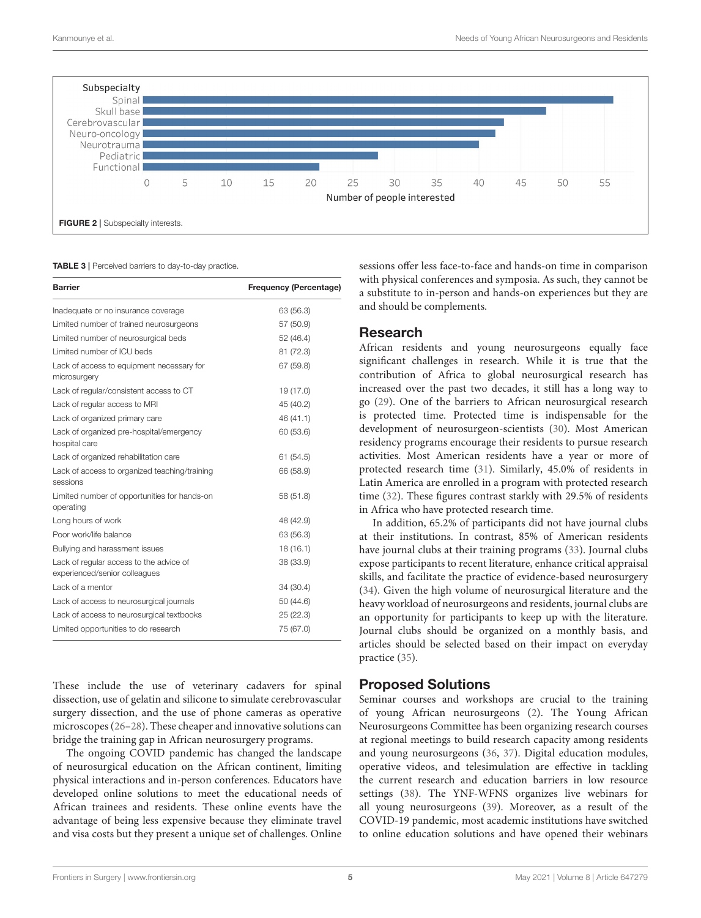

<span id="page-4-1"></span><span id="page-4-0"></span>**TABLE 3** | Perceived barriers to day-to-day practice.

| <b>Barrier</b>                                                           | <b>Frequency (Percentage)</b> |
|--------------------------------------------------------------------------|-------------------------------|
| Inadequate or no insurance coverage                                      | 63 (56.3)                     |
| Limited number of trained neurosurgeons                                  | 57 (50.9)                     |
| Limited number of neurosurgical beds                                     | 52 (46.4)                     |
| Limited number of ICU beds                                               | 81 (72.3)                     |
| Lack of access to equipment necessary for<br>microsurgery                | 67 (59.8)                     |
| Lack of regular/consistent access to CT                                  | 19 (17.0)                     |
| Lack of regular access to MRI                                            | 45 (40.2)                     |
| Lack of organized primary care                                           | 46 (41.1)                     |
| Lack of organized pre-hospital/emergency<br>hospital care                | 60 (53.6)                     |
| Lack of organized rehabilitation care                                    | 61 (54.5)                     |
| Lack of access to organized teaching/training<br>sessions                | 66 (58.9)                     |
| Limited number of opportunities for hands-on<br>operating                | 58 (51.8)                     |
| Long hours of work                                                       | 48 (42.9)                     |
| Poor work/life balance                                                   | 63 (56.3)                     |
| Bullying and harassment issues                                           | 18(16.1)                      |
| Lack of regular access to the advice of<br>experienced/senior colleagues | 38 (33.9)                     |
| Lack of a mentor                                                         | 34 (30.4)                     |
| Lack of access to neurosurgical journals                                 | 50 (44.6)                     |
| Lack of access to neurosurgical textbooks                                | 25 (22.3)                     |
| Limited opportunities to do research                                     | 75 (67.0)                     |

These include the use of veterinary cadavers for spinal dissection, use of gelatin and silicone to simulate cerebrovascular surgery dissection, and the use of phone cameras as operative microscopes [\(26](#page-6-15)[–28\)](#page-6-16). These cheaper and innovative solutions can bridge the training gap in African neurosurgery programs.

The ongoing COVID pandemic has changed the landscape of neurosurgical education on the African continent, limiting physical interactions and in-person conferences. Educators have developed online solutions to meet the educational needs of African trainees and residents. These online events have the advantage of being less expensive because they eliminate travel and visa costs but they present a unique set of challenges. Online sessions offer less face-to-face and hands-on time in comparison with physical conferences and symposia. As such, they cannot be a substitute to in-person and hands-on experiences but they are and should be complements.

# Research

African residents and young neurosurgeons equally face significant challenges in research. While it is true that the contribution of Africa to global neurosurgical research has increased over the past two decades, it still has a long way to go [\(29\)](#page-6-17). One of the barriers to African neurosurgical research is protected time. Protected time is indispensable for the development of neurosurgeon-scientists [\(30\)](#page-6-18). Most American residency programs encourage their residents to pursue research activities. Most American residents have a year or more of protected research time [\(31\)](#page-6-19). Similarly, 45.0% of residents in Latin America are enrolled in a program with protected research time [\(32\)](#page-6-20). These figures contrast starkly with 29.5% of residents in Africa who have protected research time.

In addition, 65.2% of participants did not have journal clubs at their institutions. In contrast, 85% of American residents have journal clubs at their training programs [\(33\)](#page-6-21). Journal clubs expose participants to recent literature, enhance critical appraisal skills, and facilitate the practice of evidence-based neurosurgery [\(34\)](#page-6-22). Given the high volume of neurosurgical literature and the heavy workload of neurosurgeons and residents, journal clubs are an opportunity for participants to keep up with the literature. Journal clubs should be organized on a monthly basis, and articles should be selected based on their impact on everyday practice [\(35\)](#page-6-23).

# Proposed Solutions

Seminar courses and workshops are crucial to the training of young African neurosurgeons [\(2\)](#page-5-1). The Young African Neurosurgeons Committee has been organizing research courses at regional meetings to build research capacity among residents and young neurosurgeons [\(36,](#page-6-24) [37\)](#page-6-25). Digital education modules, operative videos, and telesimulation are effective in tackling the current research and education barriers in low resource settings [\(38\)](#page-6-26). The YNF-WFNS organizes live webinars for all young neurosurgeons [\(39\)](#page-6-27). Moreover, as a result of the COVID-19 pandemic, most academic institutions have switched to online education solutions and have opened their webinars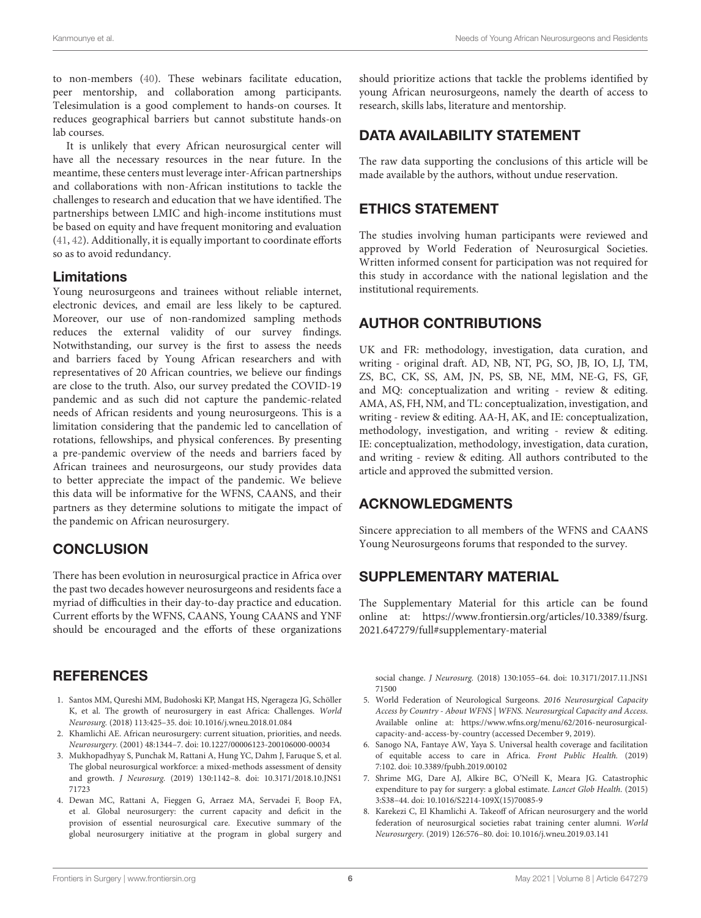to non-members [\(40\)](#page-6-28). These webinars facilitate education, peer mentorship, and collaboration among participants. Telesimulation is a good complement to hands-on courses. It reduces geographical barriers but cannot substitute hands-on lab courses.

It is unlikely that every African neurosurgical center will have all the necessary resources in the near future. In the meantime, these centers must leverage inter-African partnerships and collaborations with non-African institutions to tackle the challenges to research and education that we have identified. The partnerships between LMIC and high-income institutions must be based on equity and have frequent monitoring and evaluation [\(41,](#page-6-29) [42\)](#page-6-30). Additionally, it is equally important to coordinate efforts so as to avoid redundancy.

#### Limitations

Young neurosurgeons and trainees without reliable internet, electronic devices, and email are less likely to be captured. Moreover, our use of non-randomized sampling methods reduces the external validity of our survey findings. Notwithstanding, our survey is the first to assess the needs and barriers faced by Young African researchers and with representatives of 20 African countries, we believe our findings are close to the truth. Also, our survey predated the COVID-19 pandemic and as such did not capture the pandemic-related needs of African residents and young neurosurgeons. This is a limitation considering that the pandemic led to cancellation of rotations, fellowships, and physical conferences. By presenting a pre-pandemic overview of the needs and barriers faced by African trainees and neurosurgeons, our study provides data to better appreciate the impact of the pandemic. We believe this data will be informative for the WFNS, CAANS, and their partners as they determine solutions to mitigate the impact of the pandemic on African neurosurgery.

# **CONCLUSION**

There has been evolution in neurosurgical practice in Africa over the past two decades however neurosurgeons and residents face a myriad of difficulties in their day-to-day practice and education. Current efforts by the WFNS, CAANS, Young CAANS and YNF should be encouraged and the efforts of these organizations

# **REFERENCES**

- <span id="page-5-0"></span>1. Santos MM, Qureshi MM, Budohoski KP, Mangat HS, Ngerageza JG, Schöller K, et al. The growth of neurosurgery in east Africa: Challenges. World Neurosurg. (2018) 113:425–35. doi: [10.1016/j.wneu.2018.01.084](https://doi.org/10.1016/j.wneu.2018.01.084)
- <span id="page-5-1"></span>2. Khamlichi AE. African neurosurgery: current situation, priorities, and needs. Neurosurgery. (2001) 48:1344–7. doi: [10.1227/00006123-200106000-00034](https://doi.org/10.1227/00006123-200106000-00034)
- <span id="page-5-2"></span>3. Mukhopadhyay S, Punchak M, Rattani A, Hung YC, Dahm J, Faruque S, et al. The global neurosurgical workforce: a mixed-methods assessment of density and growth. J Neurosurg. [\(2019\) 130:1142–8. doi: 10.3171/2018.10.JNS1](https://doi.org/10.3171/2018.10.JNS171723) 71723
- 4. Dewan MC, Rattani A, Fieggen G, Arraez MA, Servadei F, Boop FA, et al. Global neurosurgery: the current capacity and deficit in the provision of essential neurosurgical care. Executive summary of the global neurosurgery initiative at the program in global surgery and

should prioritize actions that tackle the problems identified by young African neurosurgeons, namely the dearth of access to research, skills labs, literature and mentorship.

# DATA AVAILABILITY STATEMENT

The raw data supporting the conclusions of this article will be made available by the authors, without undue reservation.

# ETHICS STATEMENT

The studies involving human participants were reviewed and approved by World Federation of Neurosurgical Societies. Written informed consent for participation was not required for this study in accordance with the national legislation and the institutional requirements.

# AUTHOR CONTRIBUTIONS

UK and FR: methodology, investigation, data curation, and writing - original draft. AD, NB, NT, PG, SO, JB, IO, LJ, TM, ZS, BC, CK, SS, AM, JN, PS, SB, NE, MM, NE-G, FS, GF, and MQ: conceptualization and writing - review & editing. AMA, AS, FH, NM, and TL: conceptualization, investigation, and writing - review & editing. AA-H, AK, and IE: conceptualization, methodology, investigation, and writing - review & editing. IE: conceptualization, methodology, investigation, data curation, and writing - review & editing. All authors contributed to the article and approved the submitted version.

# ACKNOWLEDGMENTS

Sincere appreciation to all members of the WFNS and CAANS Young Neurosurgeons forums that responded to the survey.

# SUPPLEMENTARY MATERIAL

<span id="page-5-7"></span>The Supplementary Material for this article can be found [online at: https://www.frontiersin.org/articles/10.3389/fsurg.](https://www.frontiersin.org/articles/10.3389/fsurg.2021.647279/full#supplementary-material) 2021.647279/full#supplementary-material

social change. J Neurosurg. [\(2018\) 130:1055–64. doi: 10.3171/2017.11.JNS1](https://doi.org/10.3171/2017.11.JNS171500) 71500

- <span id="page-5-3"></span>5. World Federation of Neurological Surgeons. 2016 Neurosurgical Capacity Access by Country - About WFNS | WFNS. Neurosurgical Capacity and Access. Available online at: [https://www.wfns.org/menu/62/2016-neurosurgical](https://www.wfns.org/menu/62/2016-neurosurgical-capacity-and-access-by-country)[capacity-and-access-by-country](https://www.wfns.org/menu/62/2016-neurosurgical-capacity-and-access-by-country) (accessed December 9, 2019).
- <span id="page-5-4"></span>6. Sanogo NA, Fantaye AW, Yaya S. Universal health coverage and facilitation of equitable access to care in Africa. Front Public Health. (2019) 7:102. doi: [10.3389/fpubh.2019.00102](https://doi.org/10.3389/fpubh.2019.00102)
- <span id="page-5-5"></span>7. Shrime MG, Dare AJ, Alkire BC, O'Neill K, Meara JG. Catastrophic expenditure to pay for surgery: a global estimate. Lancet Glob Health. (2015) 3:S38–44. doi: [10.1016/S2214-109X\(15\)70085-9](https://doi.org/10.1016/S2214-109X(15)70085-9)
- <span id="page-5-6"></span>8. Karekezi C, El Khamlichi A. Takeoff of African neurosurgery and the world federation of neurosurgical societies rabat training center alumni. World Neurosurgery. (2019) 126:576–80. doi: [10.1016/j.wneu.2019.03.141](https://doi.org/10.1016/j.wneu.2019.03.141)